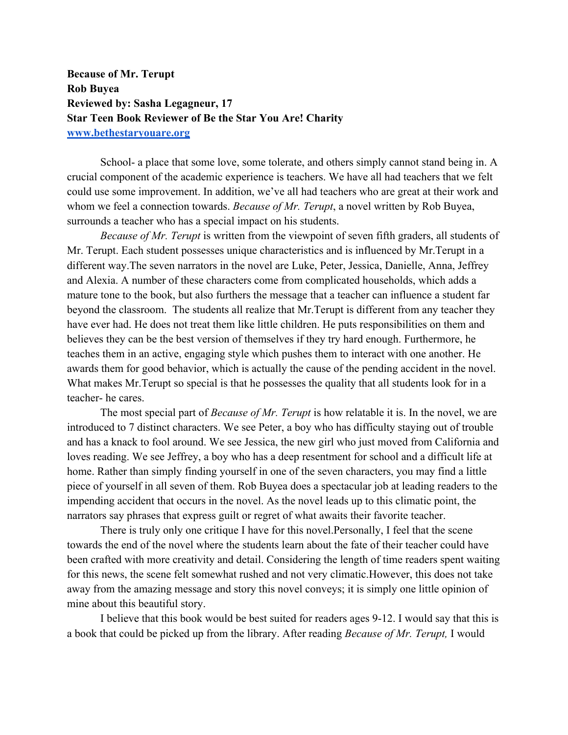**Because of Mr. Terupt Rob Buyea Reviewed by: Sasha Legagneur, 17 Star Teen Book Reviewer of Be the Star You Are! Charity www.bethestaryouare.org**

School- a place that some love, some tolerate, and others simply cannot stand being in. A crucial component of the academic experience is teachers. We have all had teachers that we felt could use some improvement. In addition, we've all had teachers who are great at their work and whom we feel a connection towards. *Because of Mr. Terupt*, a novel written by Rob Buyea, surrounds a teacher who has a special impact on his students.

*Because of Mr. Terupt* is written from the viewpoint of seven fifth graders, all students of Mr. Terupt. Each student possesses unique characteristics and is influenced by Mr.Terupt in a different way.The seven narrators in the novel are Luke, Peter, Jessica, Danielle, Anna, Jeffrey and Alexia. A number of these characters come from complicated households, which adds a mature tone to the book, but also furthers the message that a teacher can influence a student far beyond the classroom. The students all realize that Mr.Terupt is different from any teacher they have ever had. He does not treat them like little children. He puts responsibilities on them and believes they can be the best version of themselves if they try hard enough. Furthermore, he teaches them in an active, engaging style which pushes them to interact with one another. He awards them for good behavior, which is actually the cause of the pending accident in the novel. What makes Mr.Terupt so special is that he possesses the quality that all students look for in a teacher- he cares.

The most special part of *Because of Mr. Terupt* is how relatable it is. In the novel, we are introduced to 7 distinct characters. We see Peter, a boy who has difficulty staying out of trouble and has a knack to fool around. We see Jessica, the new girl who just moved from California and loves reading. We see Jeffrey, a boy who has a deep resentment for school and a difficult life at home. Rather than simply finding yourself in one of the seven characters, you may find a little piece of yourself in all seven of them. Rob Buyea does a spectacular job at leading readers to the impending accident that occurs in the novel. As the novel leads up to this climatic point, the narrators say phrases that express guilt or regret of what awaits their favorite teacher.

There is truly only one critique I have for this novel.Personally, I feel that the scene towards the end of the novel where the students learn about the fate of their teacher could have been crafted with more creativity and detail. Considering the length of time readers spent waiting for this news, the scene felt somewhat rushed and not very climatic.However, this does not take away from the amazing message and story this novel conveys; it is simply one little opinion of mine about this beautiful story.

I believe that this book would be best suited for readers ages 9-12. I would say that this is a book that could be picked up from the library. After reading *Because of Mr. Terupt,* I would